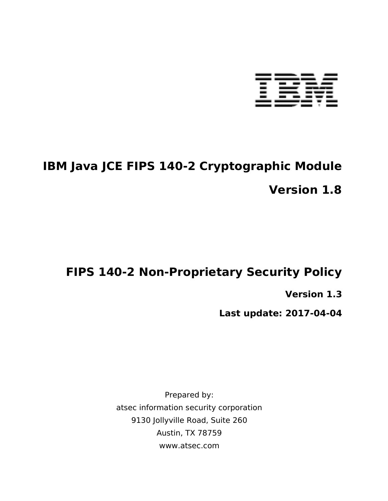

# **IBM Java JCE FIPS 140-2 Cryptographic Module Version 1.8**

## **FIPS 140-2 Non-Proprietary Security Policy**

**Version 1.3**

**Last update: 2017-04-04**

Prepared by: atsec information security corporation 9130 Jollyville Road, Suite 260 Austin, TX 78759 www.atsec.com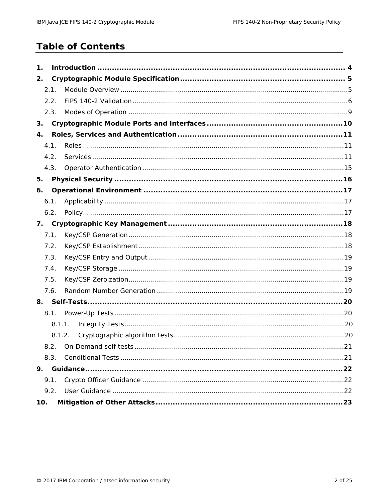## **Table of Contents**

| 1.  |        |  |
|-----|--------|--|
| 2.  |        |  |
|     | 2.1.   |  |
|     | 2.2.   |  |
|     | 2.3.   |  |
| 3.  |        |  |
| 4.  |        |  |
|     | 4.1.   |  |
|     | 4.2.   |  |
|     | 4.3.   |  |
| 5.  |        |  |
| 6.  |        |  |
|     | 6.1.   |  |
|     | 6.2.   |  |
| 7.  |        |  |
|     | 7.1.   |  |
|     | 7.2.   |  |
|     | 7.3.   |  |
|     | 7.4.   |  |
|     | 7.5.   |  |
|     | 7.6.   |  |
|     |        |  |
|     | 8.1.   |  |
|     | 8.1.1. |  |
|     | 8.1.2. |  |
|     |        |  |
|     | 8.3.   |  |
|     |        |  |
|     | 9.1.   |  |
|     | 9.2.   |  |
| 10. |        |  |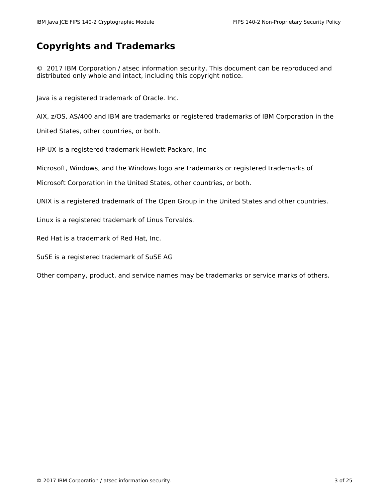#### **Copyrights and Trademarks**

© 2017 IBM Corporation / atsec information security. This document can be reproduced and distributed only whole and intact, including this copyright notice.

Java is a registered trademark of Oracle. Inc.

AIX, z/OS, AS/400 and IBM are trademarks or registered trademarks of IBM Corporation in the

United States, other countries, or both.

HP-UX is a registered trademark Hewlett Packard, Inc

Microsoft, Windows, and the Windows logo are trademarks or registered trademarks of

Microsoft Corporation in the United States, other countries, or both.

UNIX is a registered trademark of The Open Group in the United States and other countries.

Linux is a registered trademark of Linus Torvalds.

Red Hat is a trademark of Red Hat, Inc.

SuSE is a registered trademark of SuSE AG

Other company, product, and service names may be trademarks or service marks of others.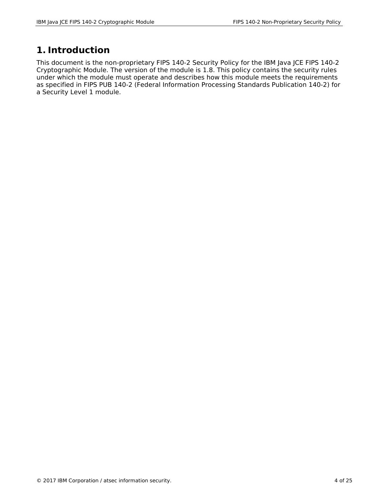## **1. Introduction**

This document is the non-proprietary FIPS 140-2 Security Policy for the IBM Java JCE FIPS 140-2 Cryptographic Module. The version of the module is 1.8. This policy contains the security rules under which the module must operate and describes how this module meets the requirements as specified in FIPS PUB 140-2 (Federal Information Processing Standards Publication 140-2) for a Security Level 1 module.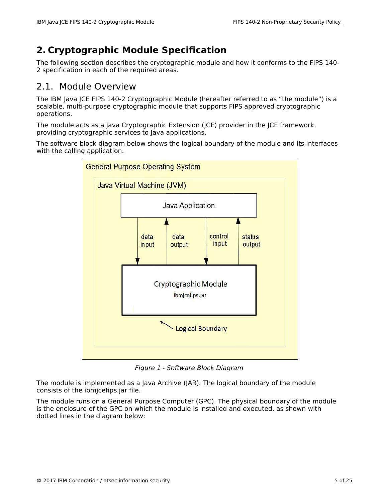## **2. Cryptographic Module Specification**

The following section describes the cryptographic module and how it conforms to the FIPS 140- 2 specification in each of the required areas.

#### 2.1. Module Overview

The IBM Java JCE FIPS 140-2 Cryptographic Module (hereafter referred to as "the module") is a scalable, multi-purpose cryptographic module that supports FIPS approved cryptographic operations.

The module acts as a Java Cryptographic Extension (JCE) provider in the JCE framework, providing cryptographic services to Java applications.

The software block diagram below shows the logical boundary of the module and its interfaces with the calling application.



*Figure 1 - Software Block Diagram*

The module is implemented as a Java Archive (JAR). The logical boundary of the module consists of the ibmjcefips.jar file.

The module runs on a General Purpose Computer (GPC). The physical boundary of the module is the enclosure of the GPC on which the module is installed and executed, as shown with dotted lines in the diagram below: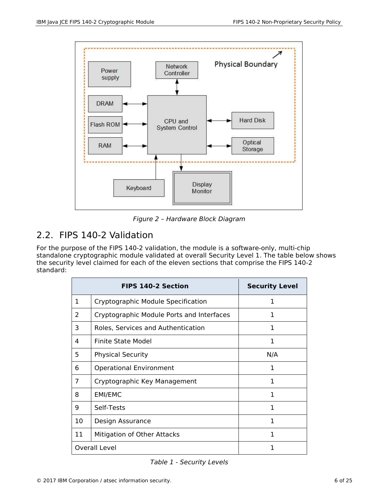

*Figure 2 – Hardware Block Diagram*

#### 2.2. FIPS 140-2 Validation

For the purpose of the FIPS 140-2 validation, the module is a software-only, multi-chip standalone cryptographic module validated at overall Security Level 1. The table below shows the security level claimed for each of the eleven sections that comprise the FIPS 140-2 standard:

|               | <b>FIPS 140-2 Section</b>                 | <b>Security Level</b> |
|---------------|-------------------------------------------|-----------------------|
| 1             | Cryptographic Module Specification        | 1                     |
| $\mathcal{P}$ | Cryptographic Module Ports and Interfaces | 1                     |
| 3             | Roles, Services and Authentication        | 1                     |
| 4             | Finite State Model                        | 1                     |
| 5             | <b>Physical Security</b>                  | N/A                   |
| 6             | <b>Operational Environment</b>            | 1                     |
| 7             | Cryptographic Key Management              | 1                     |
| 8             | EMI/EMC                                   | 1                     |
| 9             | Self-Tests                                | 1                     |
| 10            | Design Assurance                          | 1                     |
| 11            | Mitigation of Other Attacks               | 1                     |
|               | Overall Level                             | 1                     |

*Table 1 - Security Levels*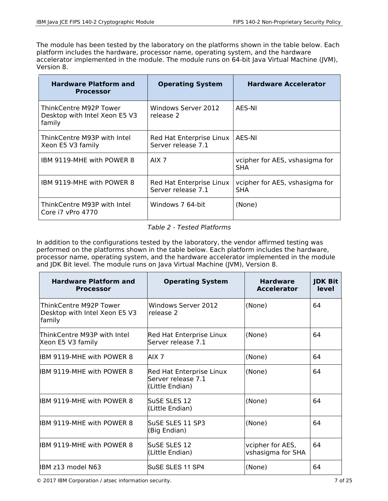The module has been tested by the laboratory on the platforms shown in the table below. Each platform includes the hardware, processor name, operating system, and the hardware accelerator implemented in the module. The module runs on 64-bit Java Virtual Machine (JVM), Version 8.

| <b>Hardware Platform and</b><br><b>Processor</b>                  | <b>Operating System</b>                        | <b>Hardware Accelerator</b>                  |
|-------------------------------------------------------------------|------------------------------------------------|----------------------------------------------|
| ThinkCentre M92P Tower<br>Desktop with Intel Xeon E5 V3<br>family | Windows Server 2012<br>release 2               | AES-NI                                       |
| ThinkCentre M93P with Intel<br>Xeon E5 V3 family                  | Red Hat Enterprise Linux<br>Server release 7.1 | AES-NI                                       |
| IBM 9119-MHE with POWER 8                                         | AIX <sub>7</sub>                               | vcipher for AES, vshasigma for<br><b>SHA</b> |
| IBM 9119-MHE with POWER 8                                         | Red Hat Enterprise Linux<br>Server release 7.1 | vcipher for AES, vshasigma for<br><b>SHA</b> |
| ThinkCentre M93P with Intel<br>Core i7 vPro 4770                  | Windows 7 64-bit                               | (None)                                       |

#### *Table 2 - Tested Platforms*

In addition to the configurations tested by the laboratory, the vendor affirmed testing was performed on the platforms shown in the table below. Each platform includes the hardware, processor name, operating system, and the hardware accelerator implemented in the module and JDK Bit level. The module runs on Java Virtual Machine (JVM), Version 8.

| <b>Hardware Platform and</b><br><b>Processor</b>                  | <b>Operating System</b>                                           | <b>Hardware</b><br><b>Accelerator</b> | <b>JDK Bit</b><br>level |
|-------------------------------------------------------------------|-------------------------------------------------------------------|---------------------------------------|-------------------------|
| ThinkCentre M92P Tower<br>Desktop with Intel Xeon E5 V3<br>family | Windows Server 2012<br>release 2                                  | (None)                                | 64                      |
| ThinkCentre M93P with Intel<br>Xeon E5 V3 family                  | Red Hat Enterprise Linux<br>Server release 7.1                    | (None)                                | 64                      |
| IBM 9119-MHE with POWER 8                                         | AIX <sub>7</sub>                                                  | (None)                                | 64                      |
| IBM 9119-MHE with POWER 8                                         | Red Hat Enterprise Linux<br>Server release 7.1<br>(Little Endian) | (None)                                | 64                      |
| IBM 9119-MHE with POWER 8                                         | SuSE SLES 12<br>(Little Endian)                                   | (None)                                | 64                      |
| IBM 9119-MHE with POWER 8                                         | SuSE SLES 11 SP3<br>(Big Endian)                                  | (None)                                | 64                      |
| IBM 9119-MHE with POWER 8                                         | SuSE SLES 12<br>(Little Endian)                                   | vcipher for AES,<br>vshasigma for SHA | 64                      |
| IBM z13 model N63                                                 | SuSE SLES 11 SP4                                                  | (None)                                | 64                      |

© 2017 IBM Corporation / atsec information security. 7 of 25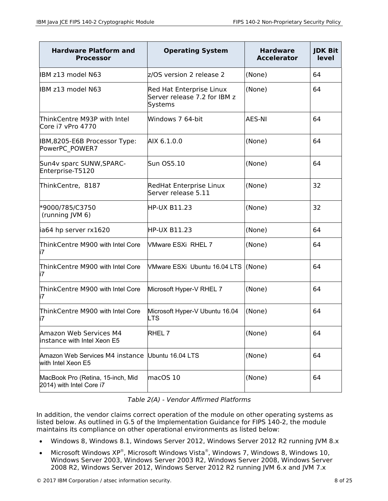| <b>Hardware Platform and</b><br><b>Processor</b>                       | <b>Operating System</b>                                                    | <b>Hardware</b><br><b>Accelerator</b> | <b>JDK Bit</b><br>level |
|------------------------------------------------------------------------|----------------------------------------------------------------------------|---------------------------------------|-------------------------|
| IBM z13 model N63                                                      | z/OS version 2 release 2                                                   | (None)                                | 64                      |
| IBM z13 model N63                                                      | <b>Red Hat Enterprise Linux</b><br>Server release 7.2 for IBM z<br>Systems | (None)                                | 64                      |
| ThinkCentre M93P with Intel<br>Core i7 vPro 4770                       | Windows 7 64-bit                                                           | <b>AES-NI</b>                         | 64                      |
| IBM,8205-E6B Processor Type:<br>PowerPC POWER7                         | AIX 6.1.0.0                                                                | (None)                                | 64                      |
| Sun4v sparc SUNW, SPARC-<br>Enterprise-T5120                           | Sun OS5.10                                                                 | (None)                                | 64                      |
| ThinkCentre, 8187                                                      | RedHat Enterprise Linux<br>Server release 5.11                             | (None)                                | 32                      |
| *9000/785/C3750<br>(running JVM 6)                                     | <b>HP-UX B11.23</b>                                                        | (None)                                | 32                      |
| ia64 hp server rx1620                                                  | <b>HP-UX B11.23</b>                                                        | (None)                                | 64                      |
| ThinkCentre M900 with Intel Core<br>i7                                 | VMware ESXi RHEL 7                                                         | (None)                                | 64                      |
| ThinkCentre M900 with Intel Core<br>i7                                 | VMware ESXi Ubuntu 16.04 LTS                                               | (None)                                | 64                      |
| ThinkCentre M900 with Intel Core<br>i7                                 | Microsoft Hyper-V RHEL 7                                                   | (None)                                | 64                      |
| ThinkCentre M900 with Intel Core<br>ļi7                                | Microsoft Hyper-V Ubuntu 16.04<br>LTS                                      | (None)                                | 64                      |
| Amazon Web Services M4<br>instance with Intel Xeon E5                  | RHEL 7                                                                     | (None)                                | 64                      |
| Amazon Web Services M4 instance Ubuntu 16.04 LTS<br>with Intel Xeon E5 |                                                                            | (None)                                | 64                      |
| MacBook Pro (Retina, 15-inch, Mid<br>2014) with Intel Core i7          | macOS 10                                                                   | (None)                                | 64                      |

In addition, the vendor claims correct operation of the module on other operating systems as listed below. As outlined in G.5 of the Implementation Guidance for FIPS 140-2, the module maintains its compliance on other operational environments as listed below:

- Windows 8, Windows 8.1, Windows Server 2012, Windows Server 2012 R2 running JVM 8.x
- Microsoft Windows  $XP^{\circ}$ , Microsoft Windows Vista $^{\circ}$ , Windows 7, Windows 8, Windows 10, Windows Server 2003, Windows Server 2003 R2, Windows Server 2008, Windows Server 2008 R2, Windows Server 2012, Windows Server 2012 R2 running JVM 6.x and JVM 7.x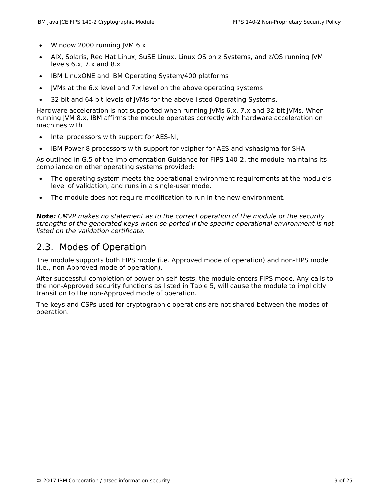- Window 2000 running JVM 6.x
- AIX, Solaris, Red Hat Linux, SuSE Linux, Linux OS on z Systems, and z/OS running JVM levels 6.x, 7.x and 8.x
- IBM LinuxONE and IBM Operating System/400 platforms
- JVMs at the 6.x level and 7.x level on the above operating systems
- 32 bit and 64 bit levels of JVMs for the above listed Operating Systems.

Hardware acceleration is not supported when running JVMs 6.x, 7.x and 32-bit JVMs. When running JVM 8.x, IBM affirms the module operates correctly with hardware acceleration on machines with

- Intel processors with support for AES-NI,
- IBM Power 8 processors with support for vcipher for AES and vshasigma for SHA

As outlined in G.5 of the Implementation Guidance for FIPS 140-2, the module maintains its compliance on other operating systems provided:

- The operating system meets the operational environment requirements at the module's level of validation, and runs in a single-user mode.
- The module does not require modification to run in the new environment.

*Note: CMVP makes no statement as to the correct operation of the module or the security strengths of the generated keys when so ported if the specific operational environment is not listed on the validation certificate.* 

#### 2.3. Modes of Operation

The module supports both FIPS mode (i.e. Approved mode of operation) and non-FIPS mode (i.e., non-Approved mode of operation).

After successful completion of power-on self-tests, the module enters FIPS mode. Any calls to the non-Approved security functions as listed in Table 5, will cause the module to implicitly transition to the non-Approved mode of operation.

The keys and CSPs used for cryptographic operations are not shared between the modes of operation.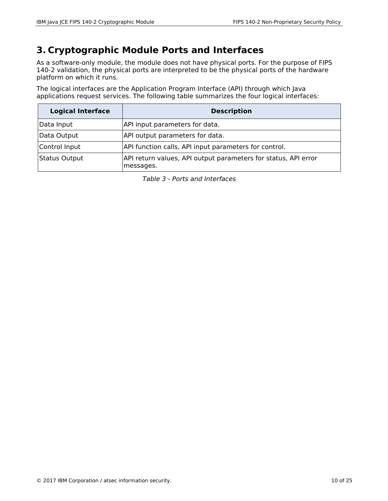#### **3. Cryptographic Module Ports and Interfaces**

As a software-only module, the module does not have physical ports. For the purpose of FIPS 140-2 validation, the physical ports are interpreted to be the physical ports of the hardware platform on which it runs.

The logical interfaces are the Application Program Interface (API) through which Java applications request services. The following table summarizes the four logical interfaces:

| <b>Logical Interface</b> | <b>Description</b>                                                          |
|--------------------------|-----------------------------------------------------------------------------|
| Data Input               | API input parameters for data.                                              |
| Data Output              | API output parameters for data.                                             |
| Control Input            | API function calls, API input parameters for control.                       |
| Status Output            | API return values, API output parameters for status, API error<br>messages. |

*Table 3 - Ports and Interfaces*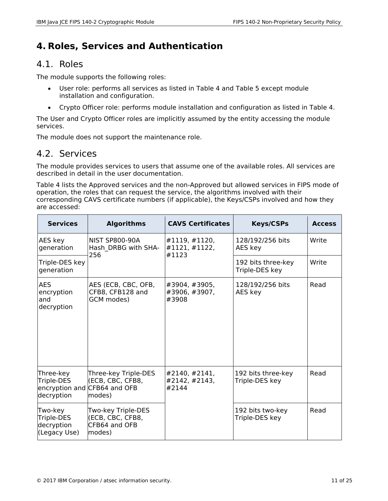## **4. Roles, Services and Authentication**

#### 4.1. Roles

The module supports the following roles:

- User role: performs all services as listed in Table 4 and Table 5 except module installation and configuration.
- Crypto Officer role: performs module installation and configuration as listed in Table 4.

The User and Crypto Officer roles are implicitly assumed by the entity accessing the module services.

The module does not support the maintenance role.

#### 4.2. Services

The module provides services to users that assume one of the available roles. All services are described in detail in the user documentation.

Table 4 lists the Approved services and the non-Approved but allowed services in FIPS mode of operation, the roles that can request the service, the algorithms involved with their corresponding CAVS certificate numbers (if applicable), the Keys/CSPs involved and how they are accessed:

| <b>Services</b>                                     | <b>Algorithms</b>                                                                  | <b>CAVS Certificates</b>                | <b>Keys/CSPs</b>                     | <b>Access</b> |
|-----------------------------------------------------|------------------------------------------------------------------------------------|-----------------------------------------|--------------------------------------|---------------|
| AES key<br>generation                               | <b>NIST SP800-90A</b><br>Hash DRBG with SHA-<br>256                                | #1119, #1120,<br>#1121, #1122,<br>#1123 | 128/192/256 bits<br>AES key          | Write         |
| Triple-DES key<br>generation                        |                                                                                    |                                         | 192 bits three-key<br>Triple-DES key | Write         |
| <b>AES</b><br>encryption<br>and<br>decryption       | AES (ECB, CBC, OFB,<br>CFB8, CFB128 and<br>GCM modes)                              | #3904, #3905,<br>#3906, #3907,<br>#3908 | 128/192/256 bits<br>AES key          | Read          |
| Three-key<br>Triple-DES<br>decryption               | Three-key Triple-DES<br>(ECB, CBC, CFB8,<br>encryption and CFB64 and OFB<br>modes) | #2140, #2141,<br>#2142, #2143,<br>#2144 | 192 bits three-key<br>Triple-DES key | Read          |
| Two-key<br>Triple-DES<br>decryption<br>(Legacy Use) | Two-key Triple-DES<br>(ECB, CBC, CFB8,<br>CFB64 and OFB<br>modes)                  |                                         | 192 bits two-key<br>Triple-DES key   | Read          |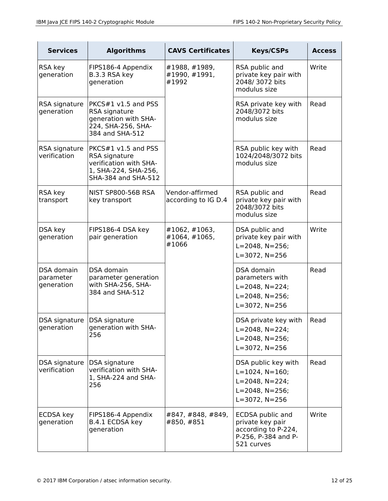| <b>Services</b>                           | <b>Algorithms</b>                                                                                             | <b>CAVS Certificates</b>                | <b>Keys/CSPs</b>                                                                                                                  | <b>Access</b> |
|-------------------------------------------|---------------------------------------------------------------------------------------------------------------|-----------------------------------------|-----------------------------------------------------------------------------------------------------------------------------------|---------------|
| RSA key<br>generation                     | FIPS186-4 Appendix<br>B.3.3 RSA key<br>generation                                                             | #1988, #1989,<br>#1990, #1991,<br>#1992 | RSA public and<br>private key pair with<br>2048/ 3072 bits<br>modulus size                                                        |               |
| RSA signature<br>generation               | $PKCS#1 v1.5$ and PSS<br>RSA signature<br>generation with SHA-<br>224, SHA-256, SHA-<br>384 and SHA-512       |                                         | RSA private key with<br>2048/3072 bits<br>modulus size                                                                            | Read          |
| RSA signature<br>verification             | PKCS#1 v1.5 and PSS<br>RSA signature<br>verification with SHA-<br>1, SHA-224, SHA-256,<br>SHA-384 and SHA-512 |                                         | RSA public key with<br>1024/2048/3072 bits<br>modulus size                                                                        | Read          |
| RSA key<br>transport                      | NIST SP800-56B RSA<br>key transport                                                                           | Vendor-affirmed<br>according to IG D.4  | RSA public and<br>private key pair with<br>2048/3072 bits<br>modulus size                                                         | Read          |
| DSA key<br>generation                     | FIPS186-4 DSA key<br>pair generation                                                                          | #1062, #1063,<br>#1064, #1065,<br>#1066 | DSA public and<br>private key pair with<br>$L = 2048$ , $N = 256$ ;<br>$L = 3072$ , $N = 256$                                     | Write         |
| DSA domain<br>parameter<br>generation     | DSA domain<br>parameter generation<br>with SHA-256, SHA-<br>384 and SHA-512                                   |                                         | DSA domain<br>parameters with<br>$L = 2048$ , $N = 224$ ;<br>$L = 2048$ , $N = 256$ ;<br>$L = 3072$ , $N = 256$                   | Read          |
| DSA signature DSA signature<br>generation | generation with SHA-<br>256                                                                                   |                                         | DSA private key with<br>$L = 2048$ , $N = 224$ ;<br>$L = 2048$ , $N = 256$ ;<br>$L = 3072$ , $N = 256$                            | Read          |
| DSA signature<br>verification             | DSA signature<br>verification with SHA-<br>1, SHA-224 and SHA-<br>256                                         |                                         | DSA public key with<br>$L = 1024$ , $N = 160$ ;<br>$L = 2048$ , $N = 224$ ;<br>$L = 2048$ , $N = 256$ ;<br>$L = 3072$ , $N = 256$ | Read          |
| ECDSA key<br>generation                   | FIPS186-4 Appendix<br>B.4.1 ECDSA key<br>generation                                                           | #847, #848, #849,<br>#850, #851         | ECDSA public and<br>private key pair<br>according to P-224,<br>P-256, P-384 and P-<br>521 curves                                  | Write         |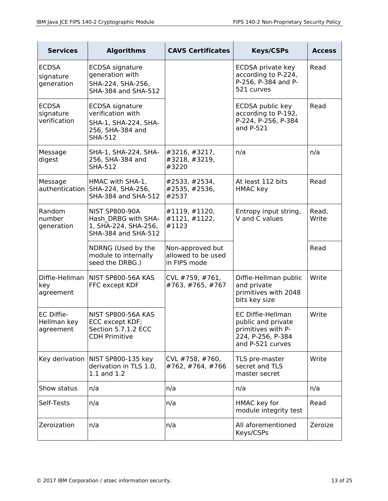| <b>Services</b>                           | <b>Algorithms</b>                                                                                  | <b>CAVS Certificates</b>                               | <b>Keys/CSPs</b>                                                                                              | <b>Access</b>  |
|-------------------------------------------|----------------------------------------------------------------------------------------------------|--------------------------------------------------------|---------------------------------------------------------------------------------------------------------------|----------------|
| <b>ECDSA</b><br>signature<br>generation   | ECDSA signature<br>generation with<br>SHA-224, SHA-256,<br>SHA-384 and SHA-512                     |                                                        | ECDSA private key<br>according to P-224,<br>P-256, P-384 and P-<br>521 curves                                 | Read           |
| <b>ECDSA</b><br>signature<br>verification | ECDSA signature<br>verification with<br>SHA-1, SHA-224, SHA-<br>256, SHA-384 and<br><b>SHA-512</b> |                                                        | ECDSA public key<br>according to P-192,<br>P-224, P-256, P-384<br>and P-521                                   | Read           |
| Message<br>digest                         | SHA-1, SHA-224, SHA-<br>256, SHA-384 and<br><b>SHA-512</b>                                         | #3216, #3217,<br>#3218, #3219,<br>#3220                | n/a                                                                                                           | n/a            |
| Message<br>authentication                 | HMAC with SHA-1,<br>SHA-224, SHA-256,<br>SHA-384 and SHA-512                                       | #2533, #2534,<br>#2535, #2536,<br>#2537                | At least 112 bits<br><b>HMAC</b> key                                                                          | Read           |
| Random<br>number<br>generation            | <b>NIST SP800-90A</b><br>Hash DRBG with SHA-<br>1, SHA-224, SHA-256,<br>SHA-384 and SHA-512        | #1119, #1120,<br>#1121, #1122,<br>#1123                | Entropy input string,<br>V and C values                                                                       | Read,<br>Write |
|                                           | NDRNG (Used by the<br>module to internally<br>seed the DRBG.)                                      | Non-approved but<br>allowed to be used<br>in FIPS mode |                                                                                                               | Read           |
| Diffie-Hellman<br>key<br>agreement        | NIST SP800-56A KAS<br>FFC except KDF                                                               | CVL #759, #761,<br>#763, #765, #767                    | Diffie-Hellman public<br>and private<br>primitives with 2048<br>bits key size                                 | Write          |
| EC Diffie-<br>Hellman key<br>agreement    | NIST SP800-56A KAS<br>ECC except KDF;<br>Section 5.7.1.2 ECC<br><b>CDH Primitive</b>               |                                                        | <b>EC Diffie-Hellman</b><br>public and private<br>primitives with P-<br>224, P-256, P-384<br>and P-521 curves | Write          |
| Key derivation                            | NIST SP800-135 key<br>derivation in TLS 1.0,<br>1.1 and 1.2                                        | CVL #758, #760,<br>#762, #764, #766                    | TLS pre-master<br>secret and TLS<br>master secret                                                             | Write          |
| Show status                               | n/a                                                                                                | n/a                                                    | n/a                                                                                                           | n/a            |
| Self-Tests                                | n/a                                                                                                | n/a                                                    | HMAC key for<br>module integrity test                                                                         | Read           |
| Zeroization                               | n/a                                                                                                | n/a                                                    | All aforementioned<br>Keys/CSPs                                                                               | Zeroize        |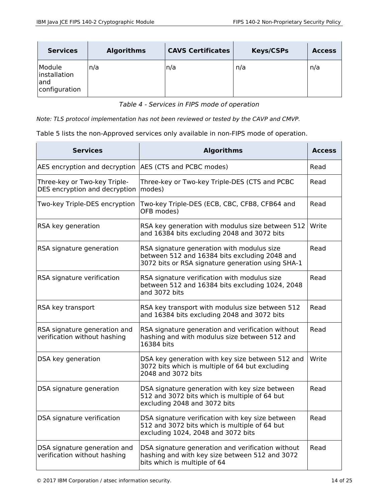| <b>Services</b>                                | <b>Algorithms</b> | <b>CAVS Certificates</b> | <b>Keys/CSPs</b> | <b>Access</b> |
|------------------------------------------------|-------------------|--------------------------|------------------|---------------|
| Module<br>installation<br>and<br>configuration | n/a               | n/a                      | n/a              | n/a           |

*Table 4 - Services in FIPS mode of operation*

*Note: TLS protocol implementation has not been reviewed or tested by the CAVP and CMVP.*

|  | Table 5 lists the non-Approved services only available in non-FIPS mode of operation. |  |  |  |
|--|---------------------------------------------------------------------------------------|--|--|--|
|--|---------------------------------------------------------------------------------------|--|--|--|

| <b>Services</b>                                               | <b>Algorithms</b>                                                                                                                                | <b>Access</b> |
|---------------------------------------------------------------|--------------------------------------------------------------------------------------------------------------------------------------------------|---------------|
| AES encryption and decryption   AES (CTS and PCBC modes)      |                                                                                                                                                  | Read          |
| Three-key or Two-key Triple-<br>DES encryption and decryption | Three-key or Two-key Triple-DES (CTS and PCBC<br>modes)                                                                                          | Read          |
| Two-key Triple-DES encryption                                 | Two-key Triple-DES (ECB, CBC, CFB8, CFB64 and<br>OFB modes)                                                                                      | Read          |
| RSA key generation                                            | RSA key generation with modulus size between 512<br>and 16384 bits excluding 2048 and 3072 bits                                                  | Write         |
| RSA signature generation                                      | RSA signature generation with modulus size<br>between 512 and 16384 bits excluding 2048 and<br>3072 bits or RSA signature generation using SHA-1 | Read          |
| RSA signature verification                                    | RSA signature verification with modulus size<br>between 512 and 16384 bits excluding 1024, 2048<br>and 3072 bits                                 | Read          |
| RSA key transport                                             | RSA key transport with modulus size between 512<br>and 16384 bits excluding 2048 and 3072 bits                                                   | Read          |
| RSA signature generation and<br>verification without hashing  | RSA signature generation and verification without<br>hashing and with modulus size between 512 and<br>16384 bits                                 | Read          |
| DSA key generation                                            | DSA key generation with key size between 512 and<br>3072 bits which is multiple of 64 but excluding<br>2048 and 3072 bits                        | Write         |
| DSA signature generation                                      | DSA signature generation with key size between<br>512 and 3072 bits which is multiple of 64 but<br>excluding 2048 and 3072 bits                  | Read          |
| DSA signature verification                                    | DSA signature verification with key size between<br>512 and 3072 bits which is multiple of 64 but<br>excluding 1024, 2048 and 3072 bits          | Read          |
| DSA signature generation and<br>verification without hashing  | DSA signature generation and verification without<br>hashing and with key size between 512 and 3072<br>bits which is multiple of 64              | Read          |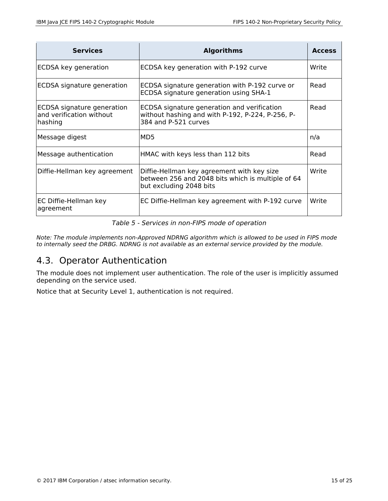| <b>Services</b>                                                   | <b>Algorithms</b>                                                                                                          | <b>Access</b> |
|-------------------------------------------------------------------|----------------------------------------------------------------------------------------------------------------------------|---------------|
| ECDSA key generation                                              | ECDSA key generation with P-192 curve                                                                                      | Write         |
| ECDSA signature generation                                        | ECDSA signature generation with P-192 curve or<br>ECDSA signature generation using SHA-1                                   | Read          |
| ECDSA signature generation<br>and verification without<br>hashing | ECDSA signature generation and verification<br>without hashing and with P-192, P-224, P-256, P-<br>384 and P-521 curves    | Read          |
| Message digest                                                    | MD <sub>5</sub>                                                                                                            | n/a           |
| Message authentication                                            | HMAC with keys less than 112 bits                                                                                          | Read          |
| Diffie-Hellman key agreement                                      | Diffie-Hellman key agreement with key size<br>between 256 and 2048 bits which is multiple of 64<br>but excluding 2048 bits | Write         |
| EC Diffie-Hellman key<br>agreement                                | EC Diffie-Hellman key agreement with P-192 curve                                                                           | Write         |

*Table 5 - Services in non-FIPS mode of operation*

*Note: The module implements non-Approved NDRNG algorithm which is allowed to be used in FIPS mode to internally seed the DRBG. NDRNG is not available as an external service provided by the module.*

#### 4.3. Operator Authentication

The module does not implement user authentication. The role of the user is implicitly assumed depending on the service used.

Notice that at Security Level 1, authentication is not required.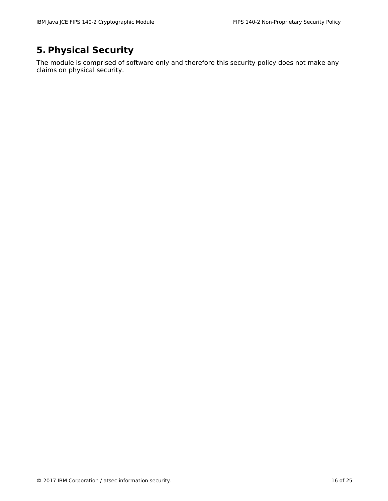## **5. Physical Security**

The module is comprised of software only and therefore this security policy does not make any claims on physical security.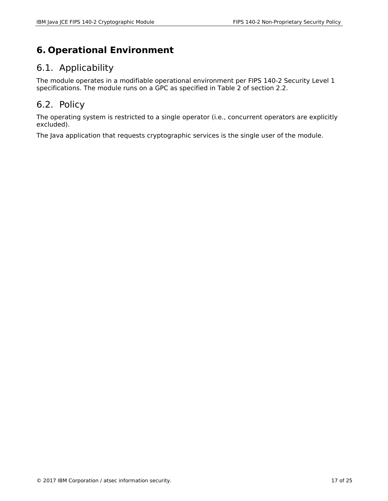## **6. Operational Environment**

#### 6.1. Applicability

The module operates in a modifiable operational environment per FIPS 140-2 Security Level 1 specifications. The module runs on a GPC as specified in Table 2 of section 2.2.

#### 6.2. Policy

The operating system is restricted to a single operator (i.e., concurrent operators are explicitly excluded).

The Java application that requests cryptographic services is the single user of the module.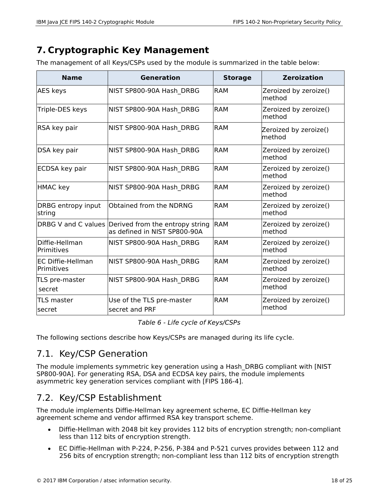## **7. Cryptographic Key Management**

The management of all Keys/CSPs used by the module is summarized in the table below:

| <b>Name</b>                            | <b>Generation</b>                                                                   | <b>Storage</b> | <b>Zeroization</b>              |
|----------------------------------------|-------------------------------------------------------------------------------------|----------------|---------------------------------|
| <b>AES keys</b>                        | NIST SP800-90A Hash DRBG                                                            | <b>RAM</b>     | Zeroized by zeroize()<br>method |
| Triple-DES keys                        | NIST SP800-90A Hash DRBG                                                            | <b>RAM</b>     | Zeroized by zeroize()<br>method |
| RSA key pair                           | NIST SP800-90A Hash DRBG                                                            | <b>RAM</b>     | Zeroized by zeroize()<br>method |
| DSA key pair                           | NIST SP800-90A Hash DRBG                                                            | <b>RAM</b>     | Zeroized by zeroize()<br>method |
| ECDSA key pair                         | NIST SP800-90A Hash DRBG                                                            | <b>RAM</b>     | Zeroized by zeroize()<br>method |
| <b>HMAC</b> key                        | NIST SP800-90A Hash DRBG                                                            | <b>RAM</b>     | Zeroized by zeroize()<br>method |
| DRBG entropy input<br>string           | Obtained from the NDRNG                                                             | <b>RAM</b>     | Zeroized by zeroize()<br>method |
|                                        | DRBG V and C values Derived from the entropy string<br>as defined in NIST SP800-90A | <b>RAM</b>     | Zeroized by zeroize()<br>method |
| Diffie-Hellman<br>Primitives           | NIST SP800-90A Hash DRBG                                                            | RAM            | Zeroized by zeroize()<br>method |
| <b>EC Diffie-Hellman</b><br>Primitives | NIST SP800-90A Hash DRBG                                                            | <b>RAM</b>     | Zeroized by zeroize()<br>method |
| TLS pre-master<br>secret               | NIST SP800-90A Hash DRBG                                                            | <b>RAM</b>     | Zeroized by zeroize()<br>method |
| <b>TLS master</b><br> secret           | Use of the TLS pre-master<br>secret and PRF                                         | <b>RAM</b>     | Zeroized by zeroize()<br>method |

*Table 6 - Life cycle of Keys/CSPs*

The following sections describe how Keys/CSPs are managed during its life cycle.

#### 7.1. Key/CSP Generation

The module implements symmetric key generation using a Hash\_DRBG compliant with [NIST SP800-90A]. For generating RSA, DSA and ECDSA key pairs, the module implements asymmetric key generation services compliant with [FIPS 186-4].

## 7.2. Key/CSP Establishment

The module implements Diffie-Hellman key agreement scheme, EC Diffie-Hellman key agreement scheme and vendor affirmed RSA key transport scheme.

- Diffie-Hellman with 2048 bit key provides 112 bits of encryption strength; non-compliant less than 112 bits of encryption strength.
- EC Diffie-Hellman with P-224, P-256, P-384 and P-521 curves provides between 112 and 256 bits of encryption strength; non-compliant less than 112 bits of encryption strength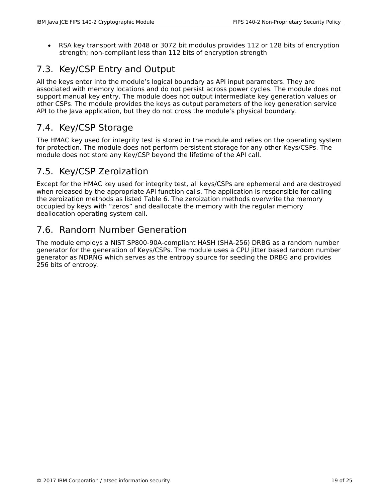RSA key transport with 2048 or 3072 bit modulus provides 112 or 128 bits of encryption strength; non-compliant less than 112 bits of encryption strength

## 7.3. Key/CSP Entry and Output

All the keys enter into the module's logical boundary as API input parameters. They are associated with memory locations and do not persist across power cycles. The module does not support manual key entry. The module does not output intermediate key generation values or other CSPs. The module provides the keys as output parameters of the key generation service API to the Java application, but they do not cross the module's physical boundary.

#### 7.4. Key/CSP Storage

The HMAC key used for integrity test is stored in the module and relies on the operating system for protection. The module does not perform persistent storage for any other Keys/CSPs. The module does not store any Key/CSP beyond the lifetime of the API call.

#### 7.5. Key/CSP Zeroization

Except for the HMAC key used for integrity test, all keys/CSPs are ephemeral and are destroyed when released by the appropriate API function calls. The application is responsible for calling the zeroization methods as listed Table 6. The zeroization methods overwrite the memory occupied by keys with "zeros" and deallocate the memory with the regular memory deallocation operating system call.

#### 7.6. Random Number Generation

The module employs a NIST SP800-90A-compliant HASH (SHA-256) DRBG as a random number generator for the generation of Keys/CSPs. The module uses a CPU jitter based random number generator as NDRNG which serves as the entropy source for seeding the DRBG and provides 256 bits of entropy.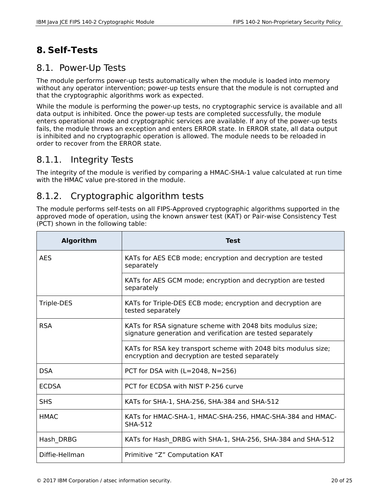## **8. Self-Tests**

#### 8.1. Power-Up Tests

The module performs power-up tests automatically when the module is loaded into memory without any operator intervention; power-up tests ensure that the module is not corrupted and that the cryptographic algorithms work as expected.

While the module is performing the power-up tests, no cryptographic service is available and all data output is inhibited. Once the power-up tests are completed successfully, the module enters operational mode and cryptographic services are available. If any of the power-up tests fails, the module throws an exception and enters ERROR state. In ERROR state, all data output is inhibited and no cryptographic operation is allowed. The module needs to be reloaded in order to recover from the ERROR state.

## 8.1.1. Integrity Tests

The integrity of the module is verified by comparing a HMAC-SHA-1 value calculated at run time with the HMAC value pre-stored in the module.

## 8.1.2. Cryptographic algorithm tests

The module performs self-tests on all FIPS-Approved cryptographic algorithms supported in the approved mode of operation, using the known answer test (KAT) or Pair-wise Consistency Test (PCT) shown in the following table:

| <b>Algorithm</b> | <b>Test</b>                                                                                                               |
|------------------|---------------------------------------------------------------------------------------------------------------------------|
| <b>AES</b>       | KATs for AES ECB mode; encryption and decryption are tested<br>separately                                                 |
|                  | KATs for AES GCM mode; encryption and decryption are tested<br>separately                                                 |
| Triple-DES       | KATs for Triple-DES ECB mode; encryption and decryption are<br>tested separately                                          |
| <b>RSA</b>       | KATs for RSA signature scheme with 2048 bits modulus size;<br>signature generation and verification are tested separately |
|                  | KATs for RSA key transport scheme with 2048 bits modulus size;<br>encryption and decryption are tested separately         |
| <b>DSA</b>       | PCT for DSA with $(L=2048, N=256)$                                                                                        |
| <b>ECDSA</b>     | PCT for ECDSA with NIST P-256 curve                                                                                       |
| <b>SHS</b>       | KATs for SHA-1, SHA-256, SHA-384 and SHA-512                                                                              |
| <b>HMAC</b>      | KATs for HMAC-SHA-1, HMAC-SHA-256, HMAC-SHA-384 and HMAC-<br><b>SHA-512</b>                                               |
| Hash DRBG        | KATs for Hash DRBG with SHA-1, SHA-256, SHA-384 and SHA-512                                                               |
| Diffie-Hellman   | Primitive "Z" Computation KAT                                                                                             |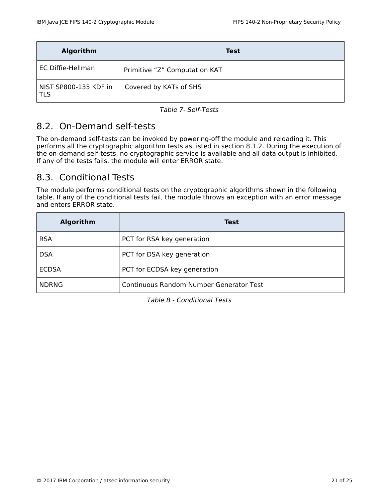| <b>Algorithm</b>             | <b>Test</b>                   |
|------------------------------|-------------------------------|
| EC Diffie-Hellman            | Primitive "Z" Computation KAT |
| NIST SP800-135 KDF in<br>TLS | Covered by KATs of SHS        |

*Table 7- Self-Tests*

#### 8.2. On-Demand self-tests

The on-demand self-tests can be invoked by powering-off the module and reloading it. This performs all the cryptographic algorithm tests as listed in section 8.1.2. During the execution of the on-demand self-tests, no cryptographic service is available and all data output is inhibited. If any of the tests fails, the module will enter ERROR state.

#### 8.3. Conditional Tests

The module performs conditional tests on the cryptographic algorithms shown in the following table. If any of the conditional tests fail, the module throws an exception with an error message and enters ERROR state.

| <b>Algorithm</b> | <b>Test</b>                             |
|------------------|-----------------------------------------|
| <b>RSA</b>       | PCT for RSA key generation              |
| <b>DSA</b>       | PCT for DSA key generation              |
| <b>ECDSA</b>     | PCT for ECDSA key generation            |
| <b>NDRNG</b>     | Continuous Random Number Generator Test |

*Table 8 - Conditional Tests*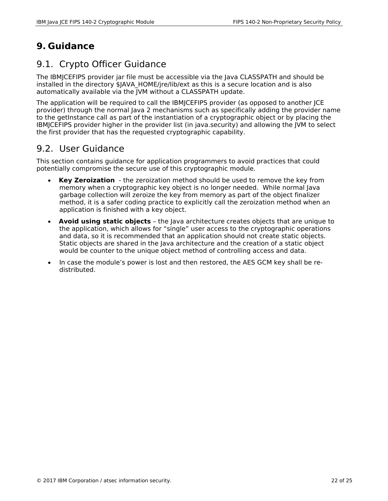## **9. Guidance**

#### 9.1. Crypto Officer Guidance

The IBMJCEFIPS provider jar file must be accessible via the Java CLASSPATH and should be installed in the directory \$JAVA\_HOME/jre/lib/ext as this is a secure location and is also automatically available via the JVM without a CLASSPATH update.

The application will be required to call the IBMJCEFIPS provider (as opposed to another JCE provider) through the normal Java 2 mechanisms such as specifically adding the provider name to the getInstance call as part of the instantiation of a cryptographic object or by placing the IBMJCEFIPS provider higher in the provider list (in java.security) and allowing the JVM to select the first provider that has the requested cryptographic capability.

#### 9.2. User Guidance

This section contains guidance for application programmers to avoid practices that could potentially compromise the secure use of this cryptographic module.

- **Key Zeroization** the zeroization method should be used to remove the key from memory when a cryptographic key object is no longer needed. While normal Java garbage collection will zeroize the key from memory as part of the object finalizer method, it is a safer coding practice to explicitly call the zeroization method when an application is finished with a key object.
- **Avoid using static objects** the Java architecture creates objects that are unique to the application, which allows for "single" user access to the cryptographic operations and data, so it is recommended that an application should not create static objects. Static objects are shared in the Java architecture and the creation of a static object would be counter to the unique object method of controlling access and data.
- In case the module's power is lost and then restored, the AES GCM key shall be redistributed.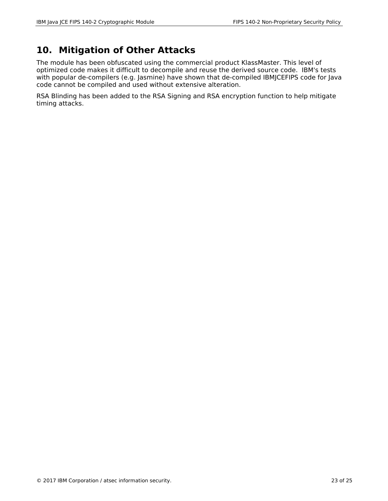#### **10. Mitigation of Other Attacks**

The module has been obfuscated using the commercial product KlassMaster. This level of optimized code makes it difficult to decompile and reuse the derived source code. IBM's tests with popular de-compilers (e.g. Jasmine) have shown that de-compiled IBMJCEFIPS code for Java code cannot be compiled and used without extensive alteration.

RSA Blinding has been added to the RSA Signing and RSA encryption function to help mitigate timing attacks.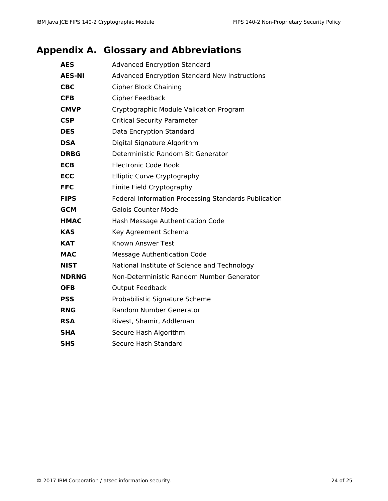## **Appendix A. Glossary and Abbreviations**

| <b>AES</b>    | <b>Advanced Encryption Standard</b>                  |
|---------------|------------------------------------------------------|
| <b>AES-NI</b> | <b>Advanced Encryption Standard New Instructions</b> |
| <b>CBC</b>    | <b>Cipher Block Chaining</b>                         |
| <b>CFB</b>    | Cipher Feedback                                      |
| <b>CMVP</b>   | Cryptographic Module Validation Program              |
| <b>CSP</b>    | <b>Critical Security Parameter</b>                   |
| <b>DES</b>    | Data Encryption Standard                             |
| <b>DSA</b>    | Digital Signature Algorithm                          |
| <b>DRBG</b>   | Deterministic Random Bit Generator                   |
| <b>ECB</b>    | <b>Electronic Code Book</b>                          |
| <b>ECC</b>    | Elliptic Curve Cryptography                          |
| <b>FFC</b>    | Finite Field Cryptography                            |
| <b>FIPS</b>   | Federal Information Processing Standards Publication |
| <b>GCM</b>    | <b>Galois Counter Mode</b>                           |
| <b>HMAC</b>   | Hash Message Authentication Code                     |
| <b>KAS</b>    | Key Agreement Schema                                 |
| <b>KAT</b>    | Known Answer Test                                    |
| <b>MAC</b>    | <b>Message Authentication Code</b>                   |
| <b>NIST</b>   | National Institute of Science and Technology         |
| <b>NDRNG</b>  | Non-Deterministic Random Number Generator            |
| <b>OFB</b>    | <b>Output Feedback</b>                               |
| <b>PSS</b>    | Probabilistic Signature Scheme                       |
| <b>RNG</b>    | <b>Random Number Generator</b>                       |
| <b>RSA</b>    | Rivest, Shamir, Addleman                             |
| <b>SHA</b>    | Secure Hash Algorithm                                |
| <b>SHS</b>    | Secure Hash Standard                                 |